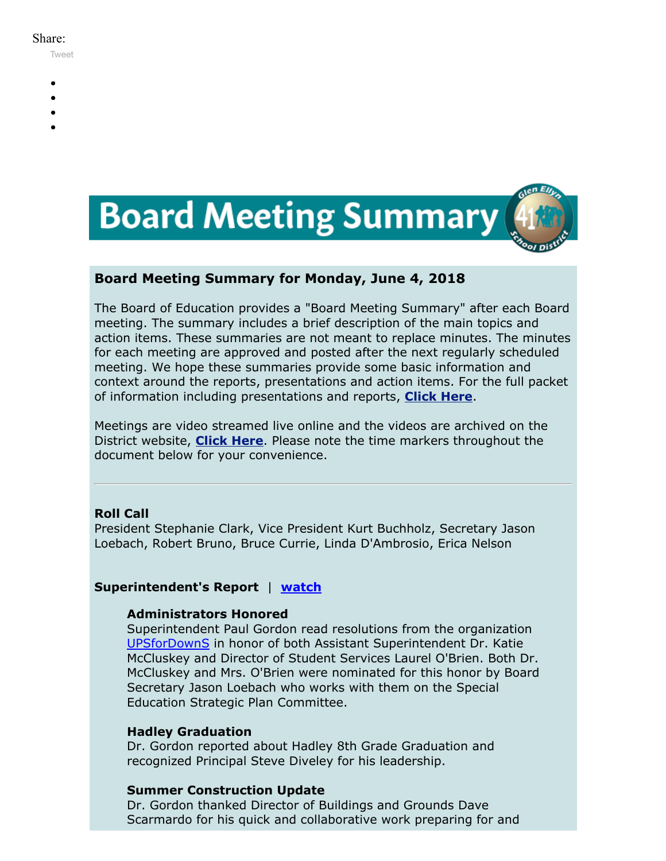#### Share:

[Tweet](https://twitter.com/intent/tweet?original_referer=https%3A%2F%2Fmyemail.constantcontact.com%2FBoard-Meeting-Summary-for-June-4--2018.html%3Fsoid%3D1102200973173%26aid%3DBQpU2a2y2bk&ref_src=twsrc%5Etfw&text=Board%20Meeting%20Summary%20for%20June%204%2C%202018&tw_p=tweetbutton&url=https%3A%2F%2Fmyemail.constantcontact.com%2FBoard-Meeting-Summary-for-June-4--2018.html%3Fsoid%3D1102200973173%26aid%3DBQpU2a2y2bk)

- 
- 
- 
- 
- 



## **Board Meeting Summary for Monday, June 4, 2018**

The Board of Education provides a "Board Meeting Summary" after each Board meeting. The summary includes a brief description of the main topics and action items. These summaries are not meant to replace minutes. The minutes for each meeting are approved and posted after the next regularly scheduled meeting. We hope these summaries provide some basic information and context around the reports, presentations and action items. For the full packet of information including presentations and reports, **[Click Here](http://www.d41.org/domain/36)**.

Meetings are video streamed live online and the videos are archived on the District website, **[Click Here](http://www.d41.org/domain/463)**. Please note the time markers throughout the document below for your convenience.

## **Roll Call**

President Stephanie Clark, Vice President Kurt Buchholz, Secretary Jason Loebach, Robert Bruno, Bruce Currie, Linda D'Ambrosio, Erica Nelson

## **Superintendent's Report** | **[watch](https://youtu.be/-oxq8Wk8pVA?t=0m50s)**

## **Administrators Honored**

Superintendent Paul Gordon read resolutions from the organization [UPSforDownS](http://www.upsfordowns.org/) in honor of both Assistant Superintendent Dr. Katie McCluskey and Director of Student Services Laurel O'Brien. Both Dr. McCluskey and Mrs. O'Brien were nominated for this honor by Board Secretary Jason Loebach who works with them on the Special Education Strategic Plan Committee.

## **Hadley Graduation**

Dr. Gordon reported about Hadley 8th Grade Graduation and recognized Principal Steve Diveley for his leadership.

## **Summer Construction Update**

Dr. Gordon thanked Director of Buildings and Grounds Dave Scarmardo for his quick and collaborative work preparing for and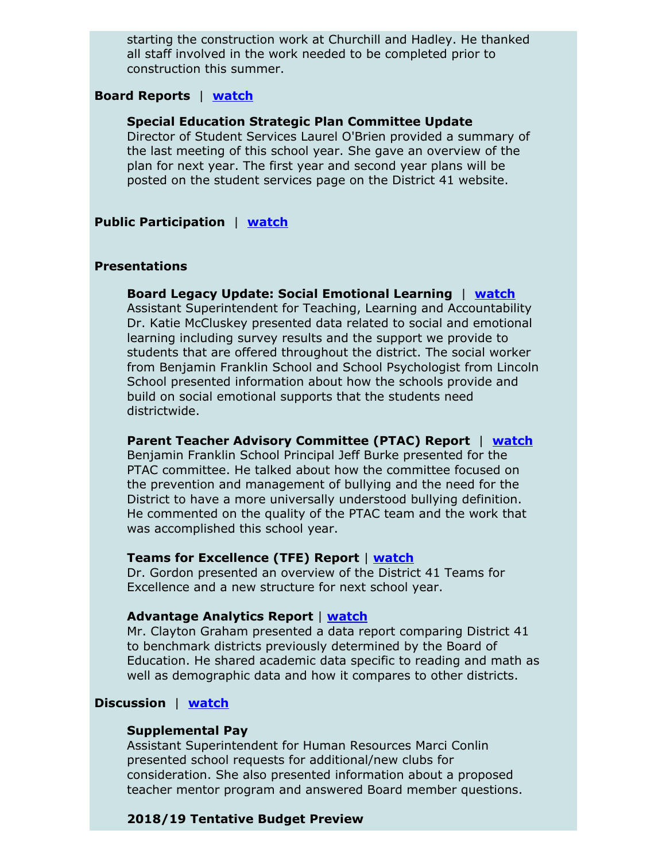starting the construction work at Churchill and Hadley. He thanked all staff involved in the work needed to be completed prior to construction this summer.

### **Board Reports** | **[watch](https://youtu.be/-oxq8Wk8pVA?t=6m21s)**

## **Special Education Strategic Plan Committee Update**

Director of Student Services Laurel O'Brien provided a summary of the last meeting of this school year. She gave an overview of the plan for next year. The first year and second year plans will be posted on the student services page on the District 41 website.

## **Public Participation** | **[watch](https://youtu.be/-oxq8Wk8pVA?t=31m35s)**

#### **Presentations**

## **Board Legacy Update: Social Emotional Learning** | **[watch](https://youtu.be/-oxq8Wk8pVA?t=44m36s)**

Assistant Superintendent for Teaching, Learning and Accountability Dr. Katie McCluskey presented data related to social and emotional learning including survey results and the support we provide to students that are offered throughout the district. The social worker from Benjamin Franklin School and School Psychologist from Lincoln School presented information about how the schools provide and build on social emotional supports that the students need districtwide.

#### **Parent Teacher Advisory Committee (PTAC) Report** | **[watch](https://youtu.be/-oxq8Wk8pVA?t=1h26m22s)**

Benjamin Franklin School Principal Jeff Burke presented for the PTAC committee. He talked about how the committee focused on the prevention and management of bullying and the need for the District to have a more universally understood bullying definition. He commented on the quality of the PTAC team and the work that was accomplished this school year.

#### **Teams for Excellence (TFE) Report** | **[watch](https://youtu.be/-oxq8Wk8pVA?t=1h40m20s)**

Dr. Gordon presented an overview of the District 41 Teams for Excellence and a new structure for next school year.

## **Advantage Analytics Report** | **[watch](https://youtu.be/-oxq8Wk8pVA?t=1h42m05s)**

Mr. Clayton Graham presented a data report comparing District 41 to benchmark districts previously determined by the Board of Education. He shared academic data specific to reading and math as well as demographic data and how it compares to other districts.

## **Discussion** | **[watch](https://youtu.be/-oxq8Wk8pVA?t=2h26m03s)**

#### **Supplemental Pay**

Assistant Superintendent for Human Resources Marci Conlin presented school requests for additional/new clubs for consideration. She also presented information about a proposed teacher mentor program and answered Board member questions.

## **2018/19 Tentative Budget Preview**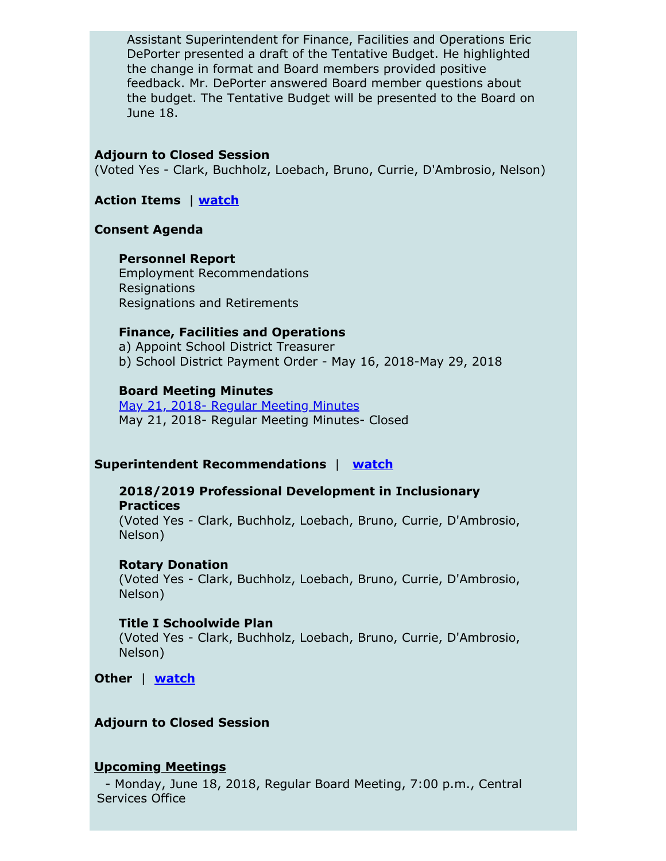Assistant Superintendent for Finance, Facilities and Operations Eric DePorter presented a draft of the Tentative Budget. He highlighted the change in format and Board members provided positive feedback. Mr. DePorter answered Board member questions about the budget. The Tentative Budget will be presented to the Board on June 18.

#### **Adjourn to Closed Session**

(Voted Yes - Clark, Buchholz, Loebach, Bruno, Currie, D'Ambrosio, Nelson)

**Action Items** | **[watch](https://youtu.be/-oxq8Wk8pVA?t=3h08m20s)**

#### **Consent Agenda**

#### **Personnel Report**

Employment Recommendations Resignations Resignations and Retirements

#### **Finance, Facilities and Operations**

a) Appoint School District Treasurer b) School District Payment Order - May 16, 2018-May 29, 2018

#### **Board Meeting Minutes**

May 21, 2018- Regular [Meeting](https://v3.boardbook.org/Public/PublicItemDownload.aspx?ik=42583627) Minutes May 21, 2018- Regular Meeting Minutes- Closed

#### **Superintendent Recommendations** | **[watch](https://youtu.be/-oxq8Wk8pVA?t=3h09m13s)**

#### **2018/2019 Professional Development in Inclusionary Practices**

(Voted Yes - Clark, Buchholz, Loebach, Bruno, Currie, D'Ambrosio, Nelson)

#### **Rotary Donation**

(Voted Yes - Clark, Buchholz, Loebach, Bruno, Currie, D'Ambrosio, Nelson)

#### **Title I Schoolwide Plan**

(Voted Yes - Clark, Buchholz, Loebach, Bruno, Currie, D'Ambrosio, Nelson)

**Other** | **[watch](https://youtu.be/-oxq8Wk8pVA?t=3h21m19s)**

## **Adjourn to Closed Session**

## **Upcoming Meetings**

- Monday, June 18, 2018, Regular Board Meeting, 7:00 p.m., Central Services Office